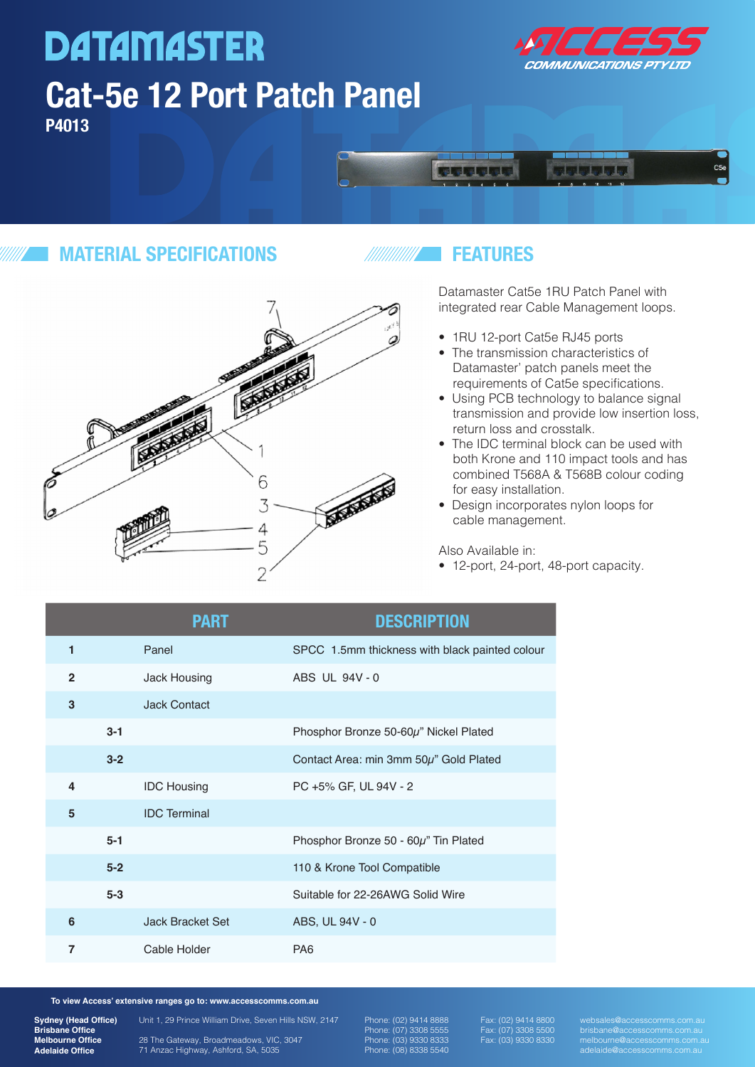# **DATAMASTER Cat-5e 12 Port Patch Panel P4013**





### **MATERIAL SPECIFICATIONS**



### **FEATURES**

Datamaster Cat5e 1RU Patch Panel with integrated rear Cable Management loops.

- 1RU 12-port Cat5e RJ45 ports
- The transmission characteristics of Datamaster' patch panels meet the requirements of Cat5e specifications.
- Using PCB technology to balance signal transmission and provide low insertion loss, return loss and crosstalk.
- The IDC terminal block can be used with both Krone and 110 impact tools and has combined T568A & T568B colour coding for easy installation.
- Design incorporates nylon loops for cable management.

Also Available in:

• 12-port, 24-port, 48-port capacity.

|              |         | <b>PART</b>             | <b>DESCRIPTION</b>                             |
|--------------|---------|-------------------------|------------------------------------------------|
| 1            |         | Panel                   | SPCC 1.5mm thickness with black painted colour |
| $\mathbf{2}$ |         | <b>Jack Housing</b>     | ABS UL 94V-0                                   |
| 3            |         | <b>Jack Contact</b>     |                                                |
|              | $3 - 1$ |                         | Phosphor Bronze 50-60µ" Nickel Plated          |
|              | $3 - 2$ |                         | Contact Area: min 3mm 50µ" Gold Plated         |
| 4            |         | <b>IDC Housing</b>      | PC +5% GF, UL 94V - 2                          |
| 5            |         | <b>IDC</b> Terminal     |                                                |
|              | $5 - 1$ |                         | Phosphor Bronze 50 - 60 $\mu$ " Tin Plated     |
|              | $5-2$   |                         | 110 & Krone Tool Compatible                    |
|              | $5-3$   |                         | Suitable for 22-26AWG Solid Wire               |
| 6            |         | <b>Jack Bracket Set</b> | ABS, UL 94V - 0                                |
| 7            |         | Cable Holder            | PA <sub>6</sub>                                |

**To view Access' extensive ranges go to: www.accesscomms.com.au**

**Sydney (Head Office) Brisbane Office Melbourne Office Adelaide Office**

28 The Gateway, Broadmeadows, VIC, 3047 71 Anzac Highway, Ashford, SA, 5035

Unit 1, 29 Prince William Drive, Seven Hills NSW, 2147

Phone: (02) 9414 8888 Phone: (07) 3308 5555 Phone: (03) 9330 8333 Phone: (08) 8338 5540 Fax: (02) 9414 8800 Fax: (07) 3308 5500 Fax: (03) 9330 8330 websales@accesscomms.com.au brisbane@accesscomms.com.au melbourne@accesscomms.com.au adelaide@accesscomms.com.au